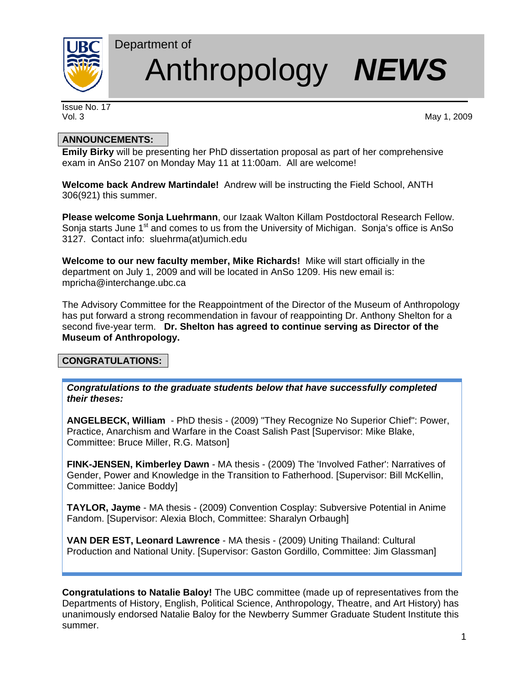

# Department of Anthropology *NEWS*

Issue No. 17

Vol. 3 May 1, 2009

# **ANNOUNCEMENTS:**

**Emily Birky** will be presenting her PhD dissertation proposal as part of her comprehensive exam in AnSo 2107 on Monday May 11 at 11:00am. All are welcome!

**Welcome back Andrew Martindale!** Andrew will be instructing the Field School, ANTH 306(921) this summer.

**Please welcome Sonja Luehrmann**, our Izaak Walton Killam Postdoctoral Research Fellow. Sonja starts June 1<sup>st</sup> and comes to us from the University of Michigan. Sonja's office is AnSo 3127. Contact info: sluehrma(at)umich.edu

**Welcome to our new faculty member, Mike Richards!** Mike will start officially in the department on July 1, 2009 and will be located in AnSo 1209. His new email is: mpricha@interchange.ubc.ca

The Advisory Committee for the Reappointment of the Director of the Museum of Anthropology has put forward a strong recommendation in favour of reappointing Dr. Anthony Shelton for a second five-year term. **Dr. Shelton has agreed to continue serving as Director of the Museum of Anthropology.** 

# **CONGRATULATIONS:**

*Congratulations to the graduate students below that have successfully completed their theses:* 

**ANGELBECK, William** - PhD thesis - (2009) "They Recognize No Superior Chief": Power, Practice, Anarchism and Warfare in the Coast Salish Past [Supervisor: Mike Blake, Committee: Bruce Miller, R.G. Matson]

**FINK-JENSEN, Kimberley Dawn** - MA thesis - (2009) The 'Involved Father': Narratives of Gender, Power and Knowledge in the Transition to Fatherhood. [Supervisor: Bill McKellin, Committee: Janice Boddy]

**TAYLOR, Jayme** - MA thesis - (2009) Convention Cosplay: Subversive Potential in Anime Fandom. [Supervisor: Alexia Bloch, Committee: Sharalyn Orbaugh]

**VAN DER EST, Leonard Lawrence** - MA thesis - (2009) Uniting Thailand: Cultural Production and National Unity. [Supervisor: Gaston Gordillo, Committee: Jim Glassman]

**Congratulations to Natalie Baloy!** The UBC committee (made up of representatives from the Departments of History, English, Political Science, Anthropology, Theatre, and Art History) has unanimously endorsed Natalie Baloy for the Newberry Summer Graduate Student Institute this summer.